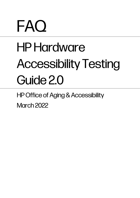# FAQ

## HP Hardware Accessibility Testing Guide 2.0

HP Office of Aging & Accessibility March 2022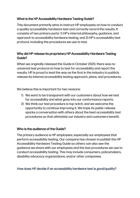#### What is the HP Accessibility Hardware Testing Guide?

This document primarily aims to instruct HP employees on how to conduct a quality accessibility hardware test and correctly record the results. It consists of two primary parts: 1) HP's internal philosophy, guidance, and approach to accessibility hardware testing, and 2) HP's accessibility test protocol, including the procedures we use to test.

#### Why did HP release its proprietary HP Accessibility Hardware Testing Guide?

When we originally released the Guide in October 2020, there was no universal test protocol on how to test for accessibility and report the results. HP is proud to lead the way as the first in the industry to publicly release its internal accessibility testing approach, plans, and procedures.

We believe this is important for two reasons:

- 1) We want to be transparent with our customers about how we test for accessibility and what goes into our conformance reports.
- 2) We think our test procedure is top notch, and we welcome the opportunity to continue improving it. We hope its public release sparks a conversation with others about the best accessibility test procedures so that ultimately our industry and customers benefit.

#### Who is the audience of the Guide?

The primary audience is HP employees, especially our employees that perform accessibility testing. Our company has chosen to publish the HP Accessibility Hardware Testing Guide so others can also see the guidance we share with our employees and the test procedures we use to conduct accessibility testing. This may include consumers, policymakers, disability advocacy organizations, and/or other companies.

#### How does HP decide if an accessibility hardware test is good/quality?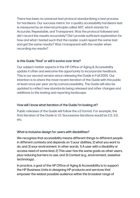There has been no universal test protocol standardizing a test process for hardware. Our success metric for a quality accessibility hardware test is measured by an internal principle called ART, which stands for Accurate, Repeatable, and Transparent. Was the protocol followed and did I record the results accurately? Did I provide sufficient explanation for how and what I tested such that the reader could repeat the same test and get the same results? Was I transparent with the reader when recording my results?

#### Is this Guide "final" or will it evolve over time?

Our subject matter experts in the HP Office of Aging & Accessibility update it often and welcome the opportunity to incorporate feedback. This is our second version since releasing the Guide in Fall 2020. Our intention is to share the most recent iteration of the Guide with the public at least once per year via hp.com/accessibility. The Guide will also be updated to reflect new standards being released and other changes and additions to the testing and reporting landscape.

#### How will I know what iteration of the Guide I'm looking at?

Public releases of the Guide will follow the x.0 format. For example, the first iteration of the Guide is 1.0. Successive iterations would be 2.0, 3.0, etc.

#### What is inclusive design for users with disabilities?

We recognize that accessibility means different things to different people in different contexts and depends on 1) your abilities, 2) what you want to do, and 3) your environment. In other words, 1) A user with a disability or access need of some kind, 2) This user has the same goals as other users, plus reducing barriers to use, and 3) Context (e.g., environment, assistive technology).

In practice, a goal of the HP Office of Aging & Accessibility is to support the HP Business Units in designing HP products and services that empower the widest possible audience within the broadest range of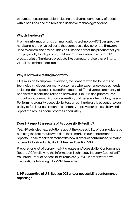circumstances practicable, including the diverse community of people with disabilities and the tools and assistive technology they use.

#### What is hardware?

From an information and communications technology (ICT) perspective, hardware is the physical parts that compose a device, or the firmware used to control the device. Think of it like the part of the product that you can physically touch, pick up, hold, and/or move around a room. HP creates a lot of hardware products, like computers, displays, printers, virtual reality headsets, etc.

#### Why is hardware testing important?

HP's mission to empower everyone, everywhere with the benefits of technology includes our many customers who experience access needs, including lifelong, acquired, and/or situational. The diverse community of people with disabilities relies on hardware—like PCs and printers—for critical work, communication, recreation, and personal technology needs. Performing a quality accessibility test on our hardware is essential to our ability to fulfil our aspiration to constantly improve our accessibility and report the results of our progress accurately.

#### Does HP report the results of its accessibility testing?

Yes. HP sets clear expectations about the accessibility of our products by outlining the test results with detailed remarks in our conformance reports. These reports demonstrate how a product conforms to relevant accessibility standards, like U.S. Revised Section 508.

Prepare for a lot of acronyms: HP creates an Accessibility Conformance Report (ACR) following the Information Technology Industry Council's (ITI) Voluntary Product Accessibility Template (VPAT). In other words, we create ACRs following ITI's VPAT template.

### Is HP supportive of U.S. Section 508 and/or accessibility conformance reporting?